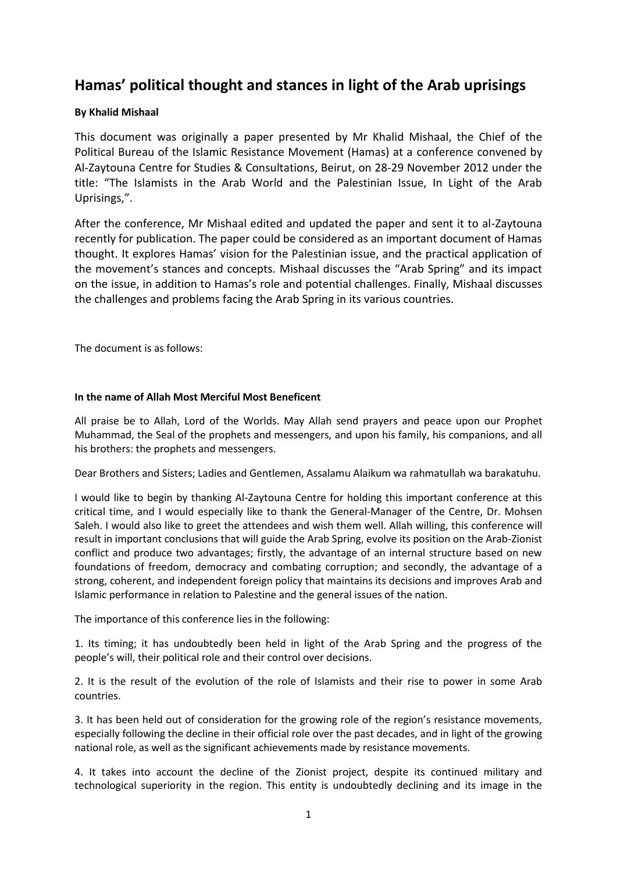# **Hamas' political thought and stances in light of the Arab uprisings**

## **By Khalid Mishaal**

This document was originally a paper presented by Mr Khalid Mishaal, the Chief of the Political Bureau of the Islamic Resistance Movement (Hamas) at a conference convened by Al-Zaytouna Centre for Studies & Consultations, Beirut, on 28-29 November 2012 under the title: "The Islamists in the Arab World and the Palestinian Issue, In Light of the Arab Uprisings,".

After the conference, Mr Mishaal edited and updated the paper and sent it to al-Zaytouna recently for publication. The paper could be considered as an important document of Hamas thought. It explores Hamas' vision for the Palestinian issue, and the practical application of the movement's stances and concepts. Mishaal discusses the "Arab Spring" and its impact on the issue, in addition to Hamas's role and potential challenges. Finally, Mishaal discusses the challenges and problems facing the Arab Spring in its various countries.

The document is as follows:

## **In the name of Allah Most Merciful Most Beneficent**

All praise be to Allah, Lord of the Worlds. May Allah send prayers and peace upon our Prophet Muhammad, the Seal of the prophets and messengers, and upon his family, his companions, and all his brothers: the prophets and messengers.

Dear Brothers and Sisters; Ladies and Gentlemen, Assalamu Alaikum wa rahmatullah wa barakatuhu.

I would like to begin by thanking Al-Zaytouna Centre for holding this important conference at this critical time, and I would especially like to thank the General-Manager of the Centre, Dr. Mohsen Saleh. I would also like to greet the attendees and wish them well. Allah willing, this conference will result in important conclusions that will guide the Arab Spring, evolve its position on the Arab-Zionist conflict and produce two advantages; firstly, the advantage of an internal structure based on new foundations of freedom, democracy and combating corruption; and secondly, the advantage of a strong, coherent, and independent foreign policy that maintains its decisions and improves Arab and Islamic performance in relation to Palestine and the general issues of the nation.

The importance of this conference lies in the following:

1. Its timing; it has undoubtedly been held in light of the Arab Spring and the progress of the people's will, their political role and their control over decisions.

2. It is the result of the evolution of the role of Islamists and their rise to power in some Arab countries.

3. It has been held out of consideration for the growing role of the region's resistance movements, especially following the decline in their official role over the past decades, and in light of the growing national role, as well as the significant achievements made by resistance movements.

4. It takes into account the decline of the Zionist project, despite its continued military and technological superiority in the region. This entity is undoubtedly declining and its image in the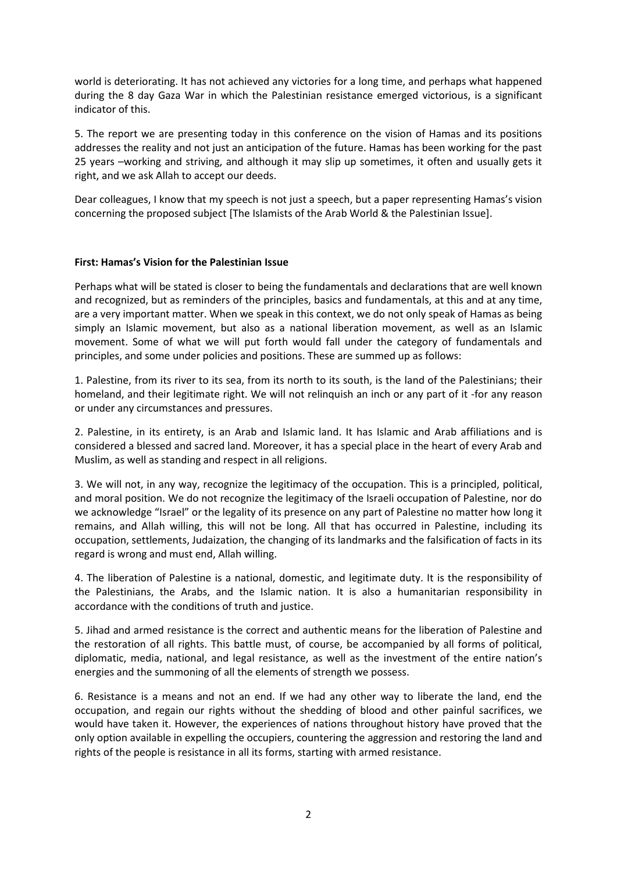world is deteriorating. It has not achieved any victories for a long time, and perhaps what happened during the 8 day Gaza War in which the Palestinian resistance emerged victorious, is a significant indicator of this.

5. The report we are presenting today in this conference on the vision of Hamas and its positions addresses the reality and not just an anticipation of the future. Hamas has been working for the past 25 years –working and striving, and although it may slip up sometimes, it often and usually gets it right, and we ask Allah to accept our deeds.

Dear colleagues, I know that my speech is not just a speech, but a paper representing Hamas's vision concerning the proposed subject [The Islamists of the Arab World & the Palestinian Issue].

### **First: Hamas's Vision for the Palestinian Issue**

Perhaps what will be stated is closer to being the fundamentals and declarations that are well known and recognized, but as reminders of the principles, basics and fundamentals, at this and at any time, are a very important matter. When we speak in this context, we do not only speak of Hamas as being simply an Islamic movement, but also as a national liberation movement, as well as an Islamic movement. Some of what we will put forth would fall under the category of fundamentals and principles, and some under policies and positions. These are summed up as follows:

1. Palestine, from its river to its sea, from its north to its south, is the land of the Palestinians; their homeland, and their legitimate right. We will not relinquish an inch or any part of it -for any reason or under any circumstances and pressures.

2. Palestine, in its entirety, is an Arab and Islamic land. It has Islamic and Arab affiliations and is considered a blessed and sacred land. Moreover, it has a special place in the heart of every Arab and Muslim, as well as standing and respect in all religions.

3. We will not, in any way, recognize the legitimacy of the occupation. This is a principled, political, and moral position. We do not recognize the legitimacy of the Israeli occupation of Palestine, nor do we acknowledge "Israel" or the legality of its presence on any part of Palestine no matter how long it remains, and Allah willing, this will not be long. All that has occurred in Palestine, including its occupation, settlements, Judaization, the changing of its landmarks and the falsification of facts in its regard is wrong and must end, Allah willing.

4. The liberation of Palestine is a national, domestic, and legitimate duty. It is the responsibility of the Palestinians, the Arabs, and the Islamic nation. It is also a humanitarian responsibility in accordance with the conditions of truth and justice.

5. Jihad and armed resistance is the correct and authentic means for the liberation of Palestine and the restoration of all rights. This battle must, of course, be accompanied by all forms of political, diplomatic, media, national, and legal resistance, as well as the investment of the entire nation's energies and the summoning of all the elements of strength we possess.

6. Resistance is a means and not an end. If we had any other way to liberate the land, end the occupation, and regain our rights without the shedding of blood and other painful sacrifices, we would have taken it. However, the experiences of nations throughout history have proved that the only option available in expelling the occupiers, countering the aggression and restoring the land and rights of the people is resistance in all its forms, starting with armed resistance.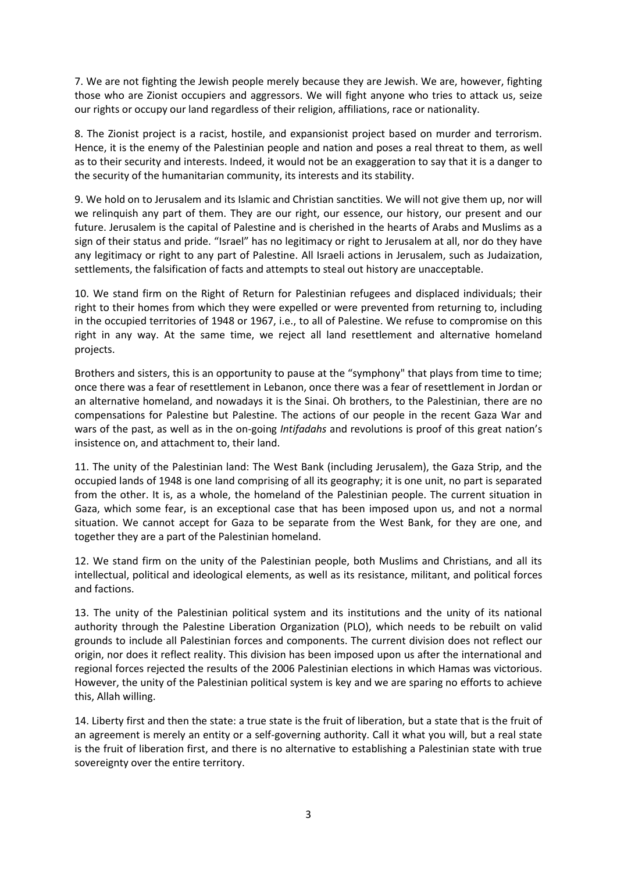7. We are not fighting the Jewish people merely because they are Jewish. We are, however, fighting those who are Zionist occupiers and aggressors. We will fight anyone who tries to attack us, seize our rights or occupy our land regardless of their religion, affiliations, race or nationality.

8. The Zionist project is a racist, hostile, and expansionist project based on murder and terrorism. Hence, it is the enemy of the Palestinian people and nation and poses a real threat to them, as well as to their security and interests. Indeed, it would not be an exaggeration to say that it is a danger to the security of the humanitarian community, its interests and its stability.

9. We hold on to Jerusalem and its Islamic and Christian sanctities. We will not give them up, nor will we relinquish any part of them. They are our right, our essence, our history, our present and our future. Jerusalem is the capital of Palestine and is cherished in the hearts of Arabs and Muslims as a sign of their status and pride. "Israel" has no legitimacy or right to Jerusalem at all, nor do they have any legitimacy or right to any part of Palestine. All Israeli actions in Jerusalem, such as Judaization, settlements, the falsification of facts and attempts to steal out history are unacceptable.

10. We stand firm on the Right of Return for Palestinian refugees and displaced individuals; their right to their homes from which they were expelled or were prevented from returning to, including in the occupied territories of 1948 or 1967, i.e., to all of Palestine. We refuse to compromise on this right in any way. At the same time, we reject all land resettlement and alternative homeland projects.

Brothers and sisters, this is an opportunity to pause at the "symphony" that plays from time to time; once there was a fear of resettlement in Lebanon, once there was a fear of resettlement in Jordan or an alternative homeland, and nowadays it is the Sinai. Oh brothers, to the Palestinian, there are no compensations for Palestine but Palestine. The actions of our people in the recent Gaza War and wars of the past, as well as in the on-going *Intifadahs* and revolutions is proof of this great nation's insistence on, and attachment to, their land.

11. The unity of the Palestinian land: The West Bank (including Jerusalem), the Gaza Strip, and the occupied lands of 1948 is one land comprising of all its geography; it is one unit, no part is separated from the other. It is, as a whole, the homeland of the Palestinian people. The current situation in Gaza, which some fear, is an exceptional case that has been imposed upon us, and not a normal situation. We cannot accept for Gaza to be separate from the West Bank, for they are one, and together they are a part of the Palestinian homeland.

12. We stand firm on the unity of the Palestinian people, both Muslims and Christians, and all its intellectual, political and ideological elements, as well as its resistance, militant, and political forces and factions.

13. The unity of the Palestinian political system and its institutions and the unity of its national authority through the Palestine Liberation Organization (PLO), which needs to be rebuilt on valid grounds to include all Palestinian forces and components. The current division does not reflect our origin, nor does it reflect reality. This division has been imposed upon us after the international and regional forces rejected the results of the 2006 Palestinian elections in which Hamas was victorious. However, the unity of the Palestinian political system is key and we are sparing no efforts to achieve this, Allah willing.

14. Liberty first and then the state: a true state is the fruit of liberation, but a state that is the fruit of an agreement is merely an entity or a self-governing authority. Call it what you will, but a real state is the fruit of liberation first, and there is no alternative to establishing a Palestinian state with true sovereignty over the entire territory.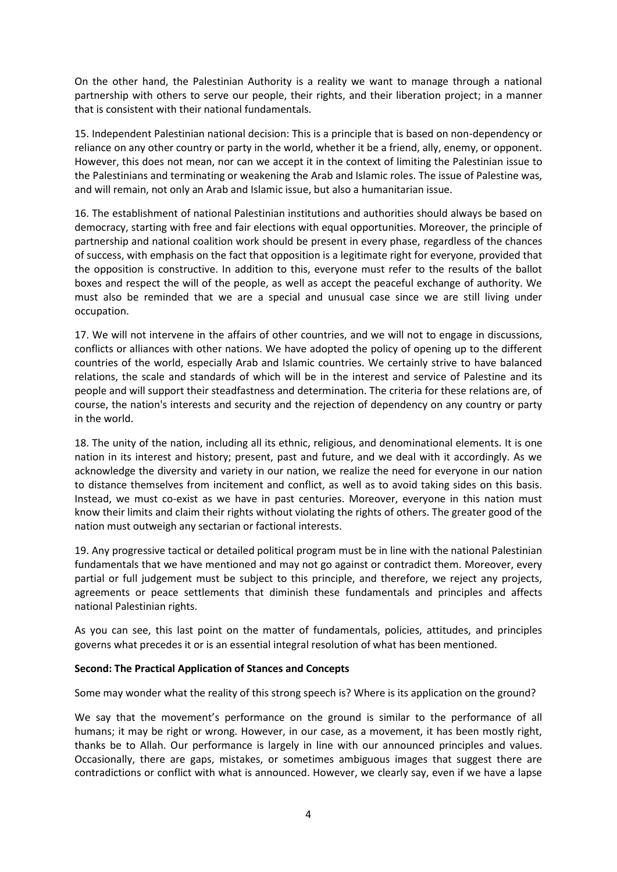On the other hand, the Palestinian Authority is a reality we want to manage through a national partnership with others to serve our people, their rights, and their liberation project; in a manner that is consistent with their national fundamentals.

15. Independent Palestinian national decision: This is a principle that is based on non-dependency or reliance on any other country or party in the world, whether it be a friend, ally, enemy, or opponent. However, this does not mean, nor can we accept it in the context of limiting the Palestinian issue to the Palestinians and terminating or weakening the Arab and Islamic roles. The issue of Palestine was, and will remain, not only an Arab and Islamic issue, but also a humanitarian issue.

16. The establishment of national Palestinian institutions and authorities should always be based on democracy, starting with free and fair elections with equal opportunities. Moreover, the principle of partnership and national coalition work should be present in every phase, regardless of the chances of success, with emphasis on the fact that opposition is a legitimate right for everyone, provided that the opposition is constructive. In addition to this, everyone must refer to the results of the ballot boxes and respect the will of the people, as well as accept the peaceful exchange of authority. We must also be reminded that we are a special and unusual case since we are still living under occupation.

17. We will not intervene in the affairs of other countries, and we will not to engage in discussions, conflicts or alliances with other nations. We have adopted the policy of opening up to the different countries of the world, especially Arab and Islamic countries. We certainly strive to have balanced relations, the scale and standards of which will be in the interest and service of Palestine and its people and will support their steadfastness and determination. The criteria for these relations are, of course, the nation's interests and security and the rejection of dependency on any country or party in the world.

18. The unity of the nation, including all its ethnic, religious, and denominational elements. It is one nation in its interest and history; present, past and future, and we deal with it accordingly. As we acknowledge the diversity and variety in our nation, we realize the need for everyone in our nation to distance themselves from incitement and conflict, as well as to avoid taking sides on this basis. Instead, we must co-exist as we have in past centuries. Moreover, everyone in this nation must know their limits and claim their rights without violating the rights of others. The greater good of the nation must outweigh any sectarian or factional interests.

19. Any progressive tactical or detailed political program must be in line with the national Palestinian fundamentals that we have mentioned and may not go against or contradict them. Moreover, every partial or full judgement must be subject to this principle, and therefore, we reject any projects, agreements or peace settlements that diminish these fundamentals and principles and affects national Palestinian rights.

As you can see, this last point on the matter of fundamentals, policies, attitudes, and principles governs what precedes it or is an essential integral resolution of what has been mentioned.

### **Second: The Practical Application of Stances and Concepts**

Some may wonder what the reality of this strong speech is? Where is its application on the ground?

We say that the movement's performance on the ground is similar to the performance of all humans; it may be right or wrong. However, in our case, as a movement, it has been mostly right, thanks be to Allah. Our performance is largely in line with our announced principles and values. Occasionally, there are gaps, mistakes, or sometimes ambiguous images that suggest there are contradictions or conflict with what is announced. However, we clearly say, even if we have a lapse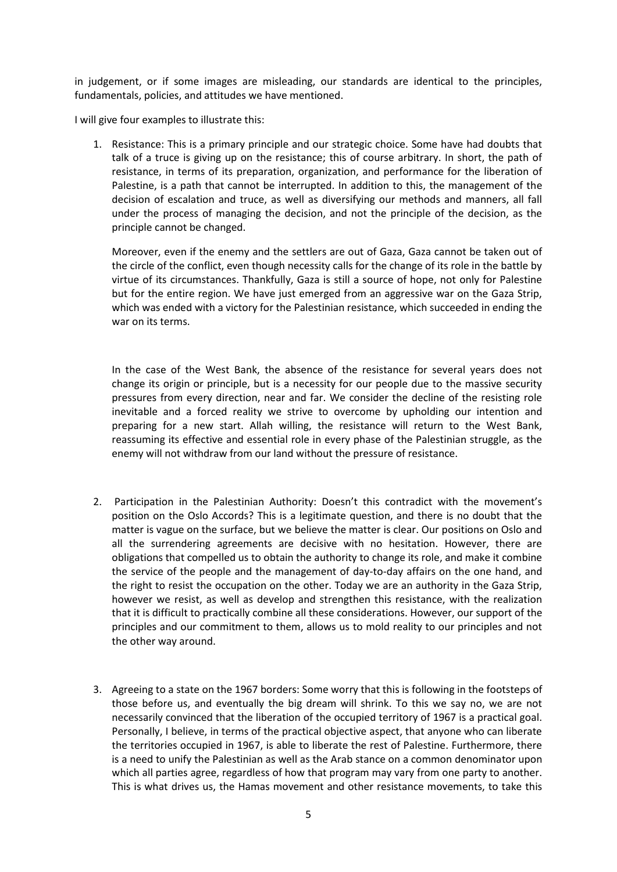in judgement, or if some images are misleading, our standards are identical to the principles, fundamentals, policies, and attitudes we have mentioned.

I will give four examples to illustrate this:

1. Resistance: This is a primary principle and our strategic choice. Some have had doubts that talk of a truce is giving up on the resistance; this of course arbitrary. In short, the path of resistance, in terms of its preparation, organization, and performance for the liberation of Palestine, is a path that cannot be interrupted. In addition to this, the management of the decision of escalation and truce, as well as diversifying our methods and manners, all fall under the process of managing the decision, and not the principle of the decision, as the principle cannot be changed.

Moreover, even if the enemy and the settlers are out of Gaza, Gaza cannot be taken out of the circle of the conflict, even though necessity calls for the change of its role in the battle by virtue of its circumstances. Thankfully, Gaza is still a source of hope, not only for Palestine but for the entire region. We have just emerged from an aggressive war on the Gaza Strip, which was ended with a victory for the Palestinian resistance, which succeeded in ending the war on its terms.

In the case of the West Bank, the absence of the resistance for several years does not change its origin or principle, but is a necessity for our people due to the massive security pressures from every direction, near and far. We consider the decline of the resisting role inevitable and a forced reality we strive to overcome by upholding our intention and preparing for a new start. Allah willing, the resistance will return to the West Bank, reassuming its effective and essential role in every phase of the Palestinian struggle, as the enemy will not withdraw from our land without the pressure of resistance.

- 2. Participation in the Palestinian Authority: Doesn't this contradict with the movement's position on the Oslo Accords? This is a legitimate question, and there is no doubt that the matter is vague on the surface, but we believe the matter is clear. Our positions on Oslo and all the surrendering agreements are decisive with no hesitation. However, there are obligations that compelled us to obtain the authority to change its role, and make it combine the service of the people and the management of day-to-day affairs on the one hand, and the right to resist the occupation on the other. Today we are an authority in the Gaza Strip, however we resist, as well as develop and strengthen this resistance, with the realization that it is difficult to practically combine all these considerations. However, our support of the principles and our commitment to them, allows us to mold reality to our principles and not the other way around.
- 3. Agreeing to a state on the 1967 borders: Some worry that this is following in the footsteps of those before us, and eventually the big dream will shrink. To this we say no, we are not necessarily convinced that the liberation of the occupied territory of 1967 is a practical goal. Personally, I believe, in terms of the practical objective aspect, that anyone who can liberate the territories occupied in 1967, is able to liberate the rest of Palestine. Furthermore, there is a need to unify the Palestinian as well as the Arab stance on a common denominator upon which all parties agree, regardless of how that program may vary from one party to another. This is what drives us, the Hamas movement and other resistance movements, to take this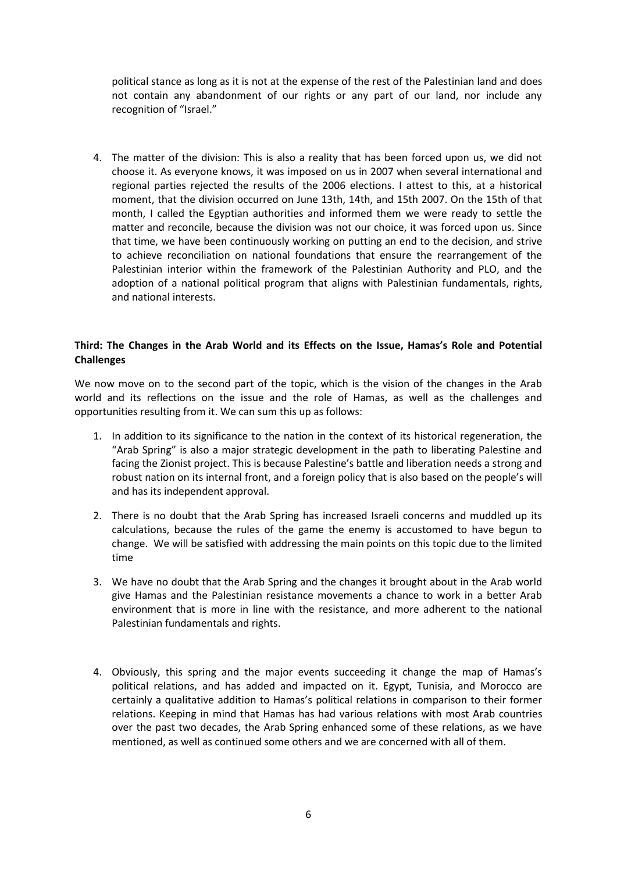political stance as long as it is not at the expense of the rest of the Palestinian land and does not contain any abandonment of our rights or any part of our land, nor include any recognition of "Israel."

4. The matter of the division: This is also a reality that has been forced upon us, we did not choose it. As everyone knows, it was imposed on us in 2007 when several international and regional parties rejected the results of the 2006 elections. I attest to this, at a historical moment, that the division occurred on June 13th, 14th, and 15th 2007. On the 15th of that month, I called the Egyptian authorities and informed them we were ready to settle the matter and reconcile, because the division was not our choice, it was forced upon us. Since that time, we have been continuously working on putting an end to the decision, and strive to achieve reconciliation on national foundations that ensure the rearrangement of the Palestinian interior within the framework of the Palestinian Authority and PLO, and the adoption of a national political program that aligns with Palestinian fundamentals, rights, and national interests.

## **Third: The Changes in the Arab World and its Effects on the Issue, Hamas's Role and Potential Challenges**

We now move on to the second part of the topic, which is the vision of the changes in the Arab world and its reflections on the issue and the role of Hamas, as well as the challenges and opportunities resulting from it. We can sum this up as follows:

- 1. In addition to its significance to the nation in the context of its historical regeneration, the "Arab Spring" is also a major strategic development in the path to liberating Palestine and facing the Zionist project. This is because Palestine's battle and liberation needs a strong and robust nation on its internal front, and a foreign policy that is also based on the people's will and has its independent approval.
- 2. There is no doubt that the Arab Spring has increased Israeli concerns and muddled up its calculations, because the rules of the game the enemy is accustomed to have begun to change. We will be satisfied with addressing the main points on this topic due to the limited time
- 3. We have no doubt that the Arab Spring and the changes it brought about in the Arab world give Hamas and the Palestinian resistance movements a chance to work in a better Arab environment that is more in line with the resistance, and more adherent to the national Palestinian fundamentals and rights.
- 4. Obviously, this spring and the major events succeeding it change the map of Hamas's political relations, and has added and impacted on it. Egypt, Tunisia, and Morocco are certainly a qualitative addition to Hamas's political relations in comparison to their former relations. Keeping in mind that Hamas has had various relations with most Arab countries over the past two decades, the Arab Spring enhanced some of these relations, as we have mentioned, as well as continued some others and we are concerned with all of them.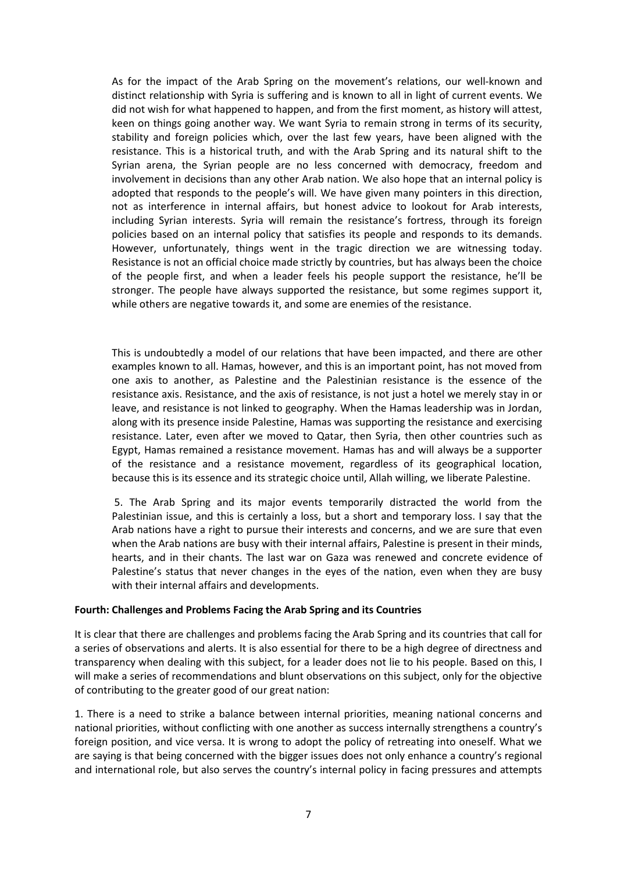As for the impact of the Arab Spring on the movement's relations, our well-known and distinct relationship with Syria is suffering and is known to all in light of current events. We did not wish for what happened to happen, and from the first moment, as history will attest, keen on things going another way. We want Syria to remain strong in terms of its security, stability and foreign policies which, over the last few years, have been aligned with the resistance. This is a historical truth, and with the Arab Spring and its natural shift to the Syrian arena, the Syrian people are no less concerned with democracy, freedom and involvement in decisions than any other Arab nation. We also hope that an internal policy is adopted that responds to the people's will. We have given many pointers in this direction, not as interference in internal affairs, but honest advice to lookout for Arab interests, including Syrian interests. Syria will remain the resistance's fortress, through its foreign policies based on an internal policy that satisfies its people and responds to its demands. However, unfortunately, things went in the tragic direction we are witnessing today. Resistance is not an official choice made strictly by countries, but has always been the choice of the people first, and when a leader feels his people support the resistance, he'll be stronger. The people have always supported the resistance, but some regimes support it, while others are negative towards it, and some are enemies of the resistance.

This is undoubtedly a model of our relations that have been impacted, and there are other examples known to all. Hamas, however, and this is an important point, has not moved from one axis to another, as Palestine and the Palestinian resistance is the essence of the resistance axis. Resistance, and the axis of resistance, is not just a hotel we merely stay in or leave, and resistance is not linked to geography. When the Hamas leadership was in Jordan, along with its presence inside Palestine, Hamas was supporting the resistance and exercising resistance. Later, even after we moved to Qatar, then Syria, then other countries such as Egypt, Hamas remained a resistance movement. Hamas has and will always be a supporter of the resistance and a resistance movement, regardless of its geographical location, because this is its essence and its strategic choice until, Allah willing, we liberate Palestine.

5. The Arab Spring and its major events temporarily distracted the world from the Palestinian issue, and this is certainly a loss, but a short and temporary loss. I say that the Arab nations have a right to pursue their interests and concerns, and we are sure that even when the Arab nations are busy with their internal affairs, Palestine is present in their minds, hearts, and in their chants. The last war on Gaza was renewed and concrete evidence of Palestine's status that never changes in the eyes of the nation, even when they are busy with their internal affairs and developments.

#### **Fourth: Challenges and Problems Facing the Arab Spring and its Countries**

It is clear that there are challenges and problems facing the Arab Spring and its countries that call for a series of observations and alerts. It is also essential for there to be a high degree of directness and transparency when dealing with this subject, for a leader does not lie to his people. Based on this, I will make a series of recommendations and blunt observations on this subject, only for the objective of contributing to the greater good of our great nation:

1. There is a need to strike a balance between internal priorities, meaning national concerns and national priorities, without conflicting with one another as success internally strengthens a country's foreign position, and vice versa. It is wrong to adopt the policy of retreating into oneself. What we are saying is that being concerned with the bigger issues does not only enhance a country's regional and international role, but also serves the country's internal policy in facing pressures and attempts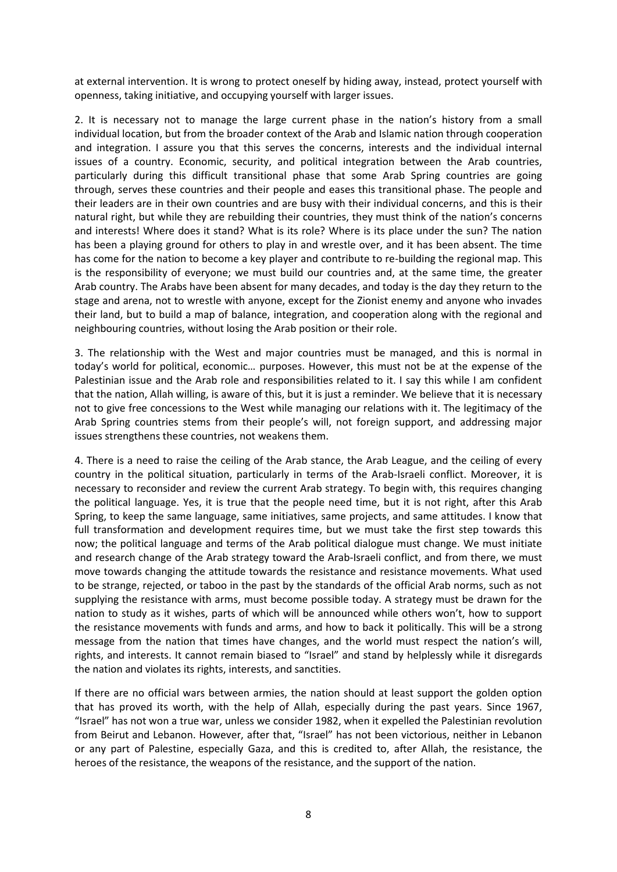at external intervention. It is wrong to protect oneself by hiding away, instead, protect yourself with openness, taking initiative, and occupying yourself with larger issues.

2. It is necessary not to manage the large current phase in the nation's history from a small individual location, but from the broader context of the Arab and Islamic nation through cooperation and integration. I assure you that this serves the concerns, interests and the individual internal issues of a country. Economic, security, and political integration between the Arab countries, particularly during this difficult transitional phase that some Arab Spring countries are going through, serves these countries and their people and eases this transitional phase. The people and their leaders are in their own countries and are busy with their individual concerns, and this is their natural right, but while they are rebuilding their countries, they must think of the nation's concerns and interests! Where does it stand? What is its role? Where is its place under the sun? The nation has been a playing ground for others to play in and wrestle over, and it has been absent. The time has come for the nation to become a key player and contribute to re-building the regional map. This is the responsibility of everyone; we must build our countries and, at the same time, the greater Arab country. The Arabs have been absent for many decades, and today is the day they return to the stage and arena, not to wrestle with anyone, except for the Zionist enemy and anyone who invades their land, but to build a map of balance, integration, and cooperation along with the regional and neighbouring countries, without losing the Arab position or their role.

3. The relationship with the West and major countries must be managed, and this is normal in today's world for political, economic… purposes. However, this must not be at the expense of the Palestinian issue and the Arab role and responsibilities related to it. I say this while I am confident that the nation, Allah willing, is aware of this, but it is just a reminder. We believe that it is necessary not to give free concessions to the West while managing our relations with it. The legitimacy of the Arab Spring countries stems from their people's will, not foreign support, and addressing major issues strengthens these countries, not weakens them.

4. There is a need to raise the ceiling of the Arab stance, the Arab League, and the ceiling of every country in the political situation, particularly in terms of the Arab-Israeli conflict. Moreover, it is necessary to reconsider and review the current Arab strategy. To begin with, this requires changing the political language. Yes, it is true that the people need time, but it is not right, after this Arab Spring, to keep the same language, same initiatives, same projects, and same attitudes. I know that full transformation and development requires time, but we must take the first step towards this now; the political language and terms of the Arab political dialogue must change. We must initiate and research change of the Arab strategy toward the Arab-Israeli conflict, and from there, we must move towards changing the attitude towards the resistance and resistance movements. What used to be strange, rejected, or taboo in the past by the standards of the official Arab norms, such as not supplying the resistance with arms, must become possible today. A strategy must be drawn for the nation to study as it wishes, parts of which will be announced while others won't, how to support the resistance movements with funds and arms, and how to back it politically. This will be a strong message from the nation that times have changes, and the world must respect the nation's will, rights, and interests. It cannot remain biased to "Israel" and stand by helplessly while it disregards the nation and violates its rights, interests, and sanctities.

If there are no official wars between armies, the nation should at least support the golden option that has proved its worth, with the help of Allah, especially during the past years. Since 1967, "Israel" has not won a true war, unless we consider 1982, when it expelled the Palestinian revolution from Beirut and Lebanon. However, after that, "Israel" has not been victorious, neither in Lebanon or any part of Palestine, especially Gaza, and this is credited to, after Allah, the resistance, the heroes of the resistance, the weapons of the resistance, and the support of the nation.